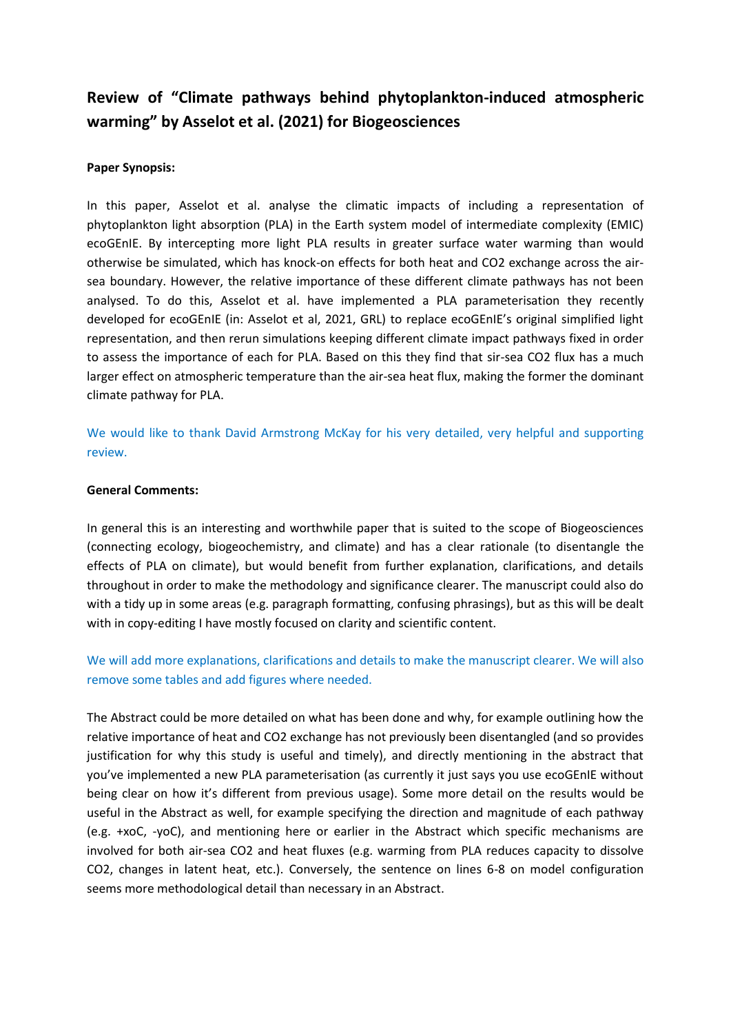# **Review of "Climate pathways behind phytoplankton-induced atmospheric warming" by Asselot et al. (2021) for Biogeosciences**

### **Paper Synopsis:**

In this paper, Asselot et al. analyse the climatic impacts of including a representation of phytoplankton light absorption (PLA) in the Earth system model of intermediate complexity (EMIC) ecoGEnIE. By intercepting more light PLA results in greater surface water warming than would otherwise be simulated, which has knock-on effects for both heat and CO2 exchange across the airsea boundary. However, the relative importance of these different climate pathways has not been analysed. To do this, Asselot et al. have implemented a PLA parameterisation they recently developed for ecoGEnIE (in: Asselot et al, 2021, GRL) to replace ecoGEnIE's original simplified light representation, and then rerun simulations keeping different climate impact pathways fixed in order to assess the importance of each for PLA. Based on this they find that sir-sea CO2 flux has a much larger effect on atmospheric temperature than the air-sea heat flux, making the former the dominant climate pathway for PLA.

We would like to thank David Armstrong McKay for his very detailed, very helpful and supporting review.

#### **General Comments:**

In general this is an interesting and worthwhile paper that is suited to the scope of Biogeosciences (connecting ecology, biogeochemistry, and climate) and has a clear rationale (to disentangle the effects of PLA on climate), but would benefit from further explanation, clarifications, and details throughout in order to make the methodology and significance clearer. The manuscript could also do with a tidy up in some areas (e.g. paragraph formatting, confusing phrasings), but as this will be dealt with in copy-editing I have mostly focused on clarity and scientific content.

# We will add more explanations, clarifications and details to make the manuscript clearer. We will also remove some tables and add figures where needed.

The Abstract could be more detailed on what has been done and why, for example outlining how the relative importance of heat and CO2 exchange has not previously been disentangled (and so provides justification for why this study is useful and timely), and directly mentioning in the abstract that you've implemented a new PLA parameterisation (as currently it just says you use ecoGEnIE without being clear on how it's different from previous usage). Some more detail on the results would be useful in the Abstract as well, for example specifying the direction and magnitude of each pathway (e.g. +xoC, -yoC), and mentioning here or earlier in the Abstract which specific mechanisms are involved for both air-sea CO2 and heat fluxes (e.g. warming from PLA reduces capacity to dissolve CO2, changes in latent heat, etc.). Conversely, the sentence on lines 6-8 on model configuration seems more methodological detail than necessary in an Abstract.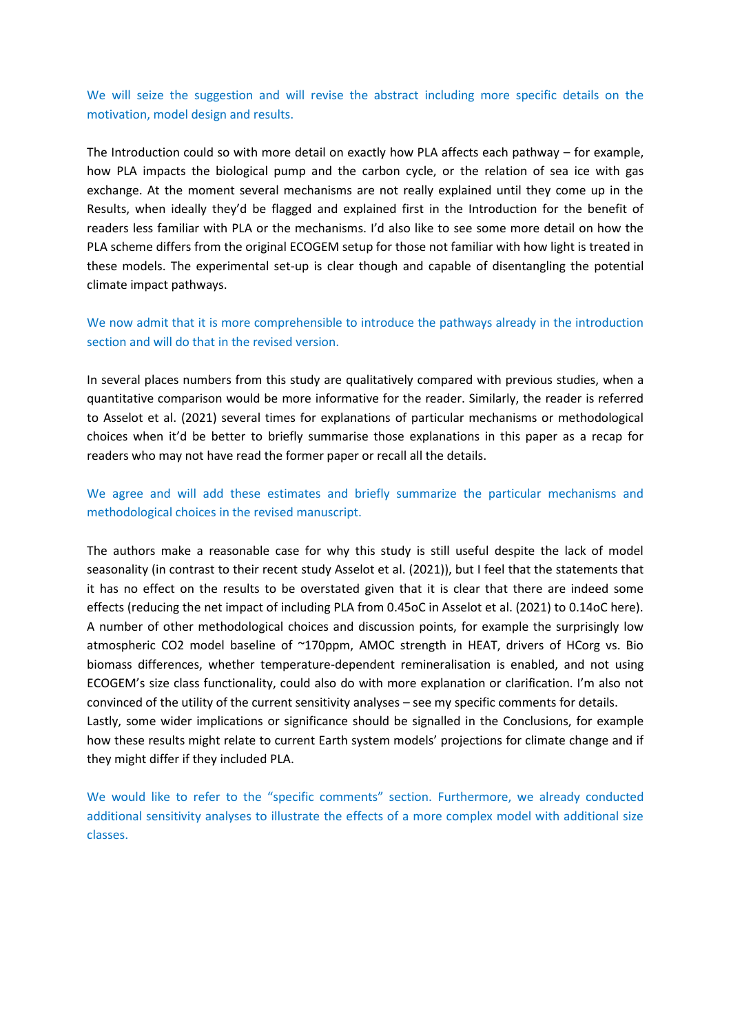We will seize the suggestion and will revise the abstract including more specific details on the motivation, model design and results.

The Introduction could so with more detail on exactly how PLA affects each pathway – for example, how PLA impacts the biological pump and the carbon cycle, or the relation of sea ice with gas exchange. At the moment several mechanisms are not really explained until they come up in the Results, when ideally they'd be flagged and explained first in the Introduction for the benefit of readers less familiar with PLA or the mechanisms. I'd also like to see some more detail on how the PLA scheme differs from the original ECOGEM setup for those not familiar with how light is treated in these models. The experimental set-up is clear though and capable of disentangling the potential climate impact pathways.

# We now admit that it is more comprehensible to introduce the pathways already in the introduction section and will do that in the revised version.

In several places numbers from this study are qualitatively compared with previous studies, when a quantitative comparison would be more informative for the reader. Similarly, the reader is referred to Asselot et al. (2021) several times for explanations of particular mechanisms or methodological choices when it'd be better to briefly summarise those explanations in this paper as a recap for readers who may not have read the former paper or recall all the details.

# We agree and will add these estimates and briefly summarize the particular mechanisms and methodological choices in the revised manuscript.

The authors make a reasonable case for why this study is still useful despite the lack of model seasonality (in contrast to their recent study Asselot et al. (2021)), but I feel that the statements that it has no effect on the results to be overstated given that it is clear that there are indeed some effects (reducing the net impact of including PLA from 0.45oC in Asselot et al. (2021) to 0.14oC here). A number of other methodological choices and discussion points, for example the surprisingly low atmospheric CO2 model baseline of ~170ppm, AMOC strength in HEAT, drivers of HCorg vs. Bio biomass differences, whether temperature-dependent remineralisation is enabled, and not using ECOGEM's size class functionality, could also do with more explanation or clarification. I'm also not convinced of the utility of the current sensitivity analyses – see my specific comments for details. Lastly, some wider implications or significance should be signalled in the Conclusions, for example how these results might relate to current Earth system models' projections for climate change and if they might differ if they included PLA.

We would like to refer to the "specific comments" section. Furthermore, we already conducted additional sensitivity analyses to illustrate the effects of a more complex model with additional size classes.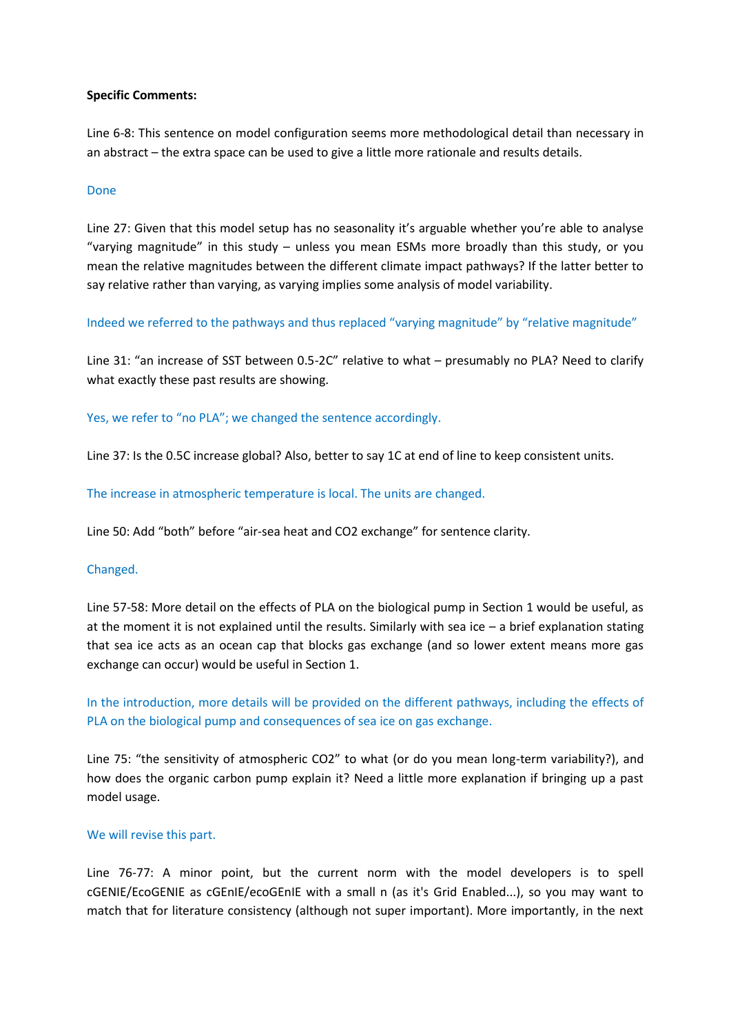### **Specific Comments:**

Line 6-8: This sentence on model configuration seems more methodological detail than necessary in an abstract – the extra space can be used to give a little more rationale and results details.

### Done

Line 27: Given that this model setup has no seasonality it's arguable whether you're able to analyse "varying magnitude" in this study – unless you mean ESMs more broadly than this study, or you mean the relative magnitudes between the different climate impact pathways? If the latter better to say relative rather than varying, as varying implies some analysis of model variability.

# Indeed we referred to the pathways and thus replaced "varying magnitude" by "relative magnitude"

Line 31: "an increase of SST between 0.5-2C" relative to what – presumably no PLA? Need to clarify what exactly these past results are showing.

# Yes, we refer to "no PLA"; we changed the sentence accordingly.

Line 37: Is the 0.5C increase global? Also, better to say 1C at end of line to keep consistent units.

The increase in atmospheric temperature is local. The units are changed.

Line 50: Add "both" before "air-sea heat and CO2 exchange" for sentence clarity.

### Changed.

Line 57-58: More detail on the effects of PLA on the biological pump in Section 1 would be useful, as at the moment it is not explained until the results. Similarly with sea ice – a brief explanation stating that sea ice acts as an ocean cap that blocks gas exchange (and so lower extent means more gas exchange can occur) would be useful in Section 1.

In the introduction, more details will be provided on the different pathways, including the effects of PLA on the biological pump and consequences of sea ice on gas exchange.

Line 75: "the sensitivity of atmospheric CO2" to what (or do you mean long-term variability?), and how does the organic carbon pump explain it? Need a little more explanation if bringing up a past model usage.

### We will revise this part.

Line 76-77: A minor point, but the current norm with the model developers is to spell cGENIE/EcoGENIE as cGEnIE/ecoGEnIE with a small n (as it's Grid Enabled...), so you may want to match that for literature consistency (although not super important). More importantly, in the next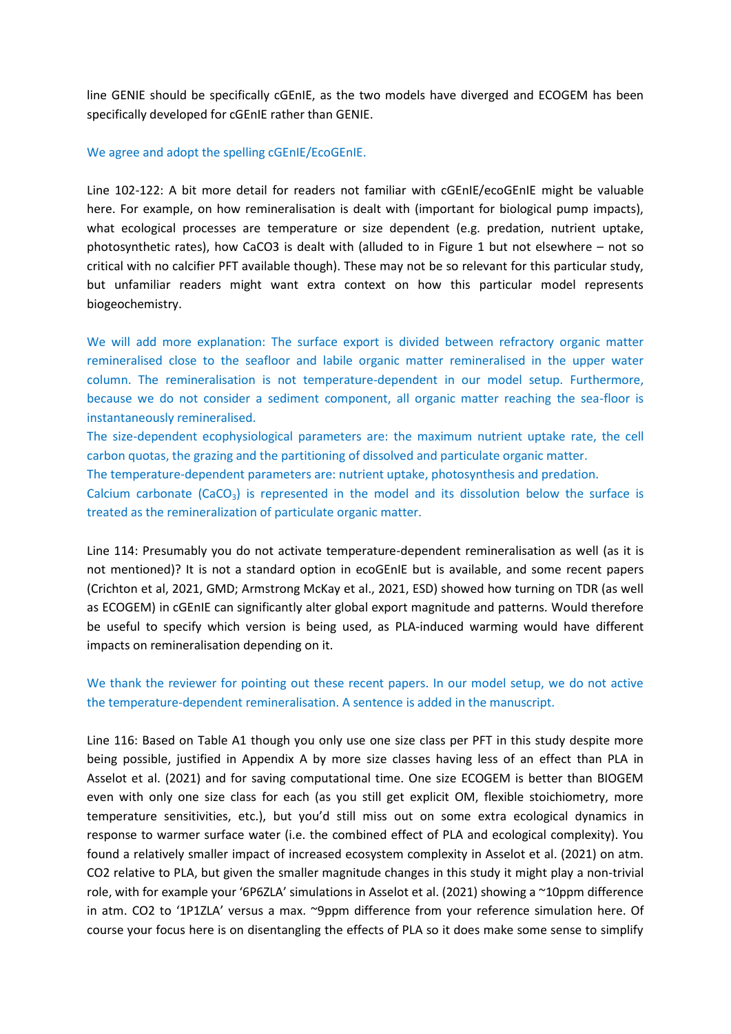line GENIE should be specifically cGEnIE, as the two models have diverged and ECOGEM has been specifically developed for cGEnIE rather than GENIE.

#### We agree and adopt the spelling cGEnIE/EcoGEnIE.

Line 102-122: A bit more detail for readers not familiar with cGEnIE/ecoGEnIE might be valuable here. For example, on how remineralisation is dealt with (important for biological pump impacts), what ecological processes are temperature or size dependent (e.g. predation, nutrient uptake, photosynthetic rates), how CaCO3 is dealt with (alluded to in Figure 1 but not elsewhere – not so critical with no calcifier PFT available though). These may not be so relevant for this particular study, but unfamiliar readers might want extra context on how this particular model represents biogeochemistry.

We will add more explanation: The surface export is divided between refractory organic matter remineralised close to the seafloor and labile organic matter remineralised in the upper water column. The remineralisation is not temperature-dependent in our model setup. Furthermore, because we do not consider a sediment component, all organic matter reaching the sea-floor is instantaneously remineralised.

The size-dependent ecophysiological parameters are: the maximum nutrient uptake rate, the cell carbon quotas, the grazing and the partitioning of dissolved and particulate organic matter.

The temperature-dependent parameters are: nutrient uptake, photosynthesis and predation.

Calcium carbonate  $(CaCO<sub>3</sub>)$  is represented in the model and its dissolution below the surface is treated as the remineralization of particulate organic matter.

Line 114: Presumably you do not activate temperature-dependent remineralisation as well (as it is not mentioned)? It is not a standard option in ecoGEnIE but is available, and some recent papers (Crichton et al, 2021, GMD; Armstrong McKay et al., 2021, ESD) showed how turning on TDR (as well as ECOGEM) in cGEnIE can significantly alter global export magnitude and patterns. Would therefore be useful to specify which version is being used, as PLA-induced warming would have different impacts on remineralisation depending on it.

# We thank the reviewer for pointing out these recent papers. In our model setup, we do not active the temperature-dependent remineralisation. A sentence is added in the manuscript.

Line 116: Based on Table A1 though you only use one size class per PFT in this study despite more being possible, justified in Appendix A by more size classes having less of an effect than PLA in Asselot et al. (2021) and for saving computational time. One size ECOGEM is better than BIOGEM even with only one size class for each (as you still get explicit OM, flexible stoichiometry, more temperature sensitivities, etc.), but you'd still miss out on some extra ecological dynamics in response to warmer surface water (i.e. the combined effect of PLA and ecological complexity). You found a relatively smaller impact of increased ecosystem complexity in Asselot et al. (2021) on atm. CO2 relative to PLA, but given the smaller magnitude changes in this study it might play a non-trivial role, with for example your '6P6ZLA' simulations in Asselot et al. (2021) showing a ~10ppm difference in atm. CO2 to '1P1ZLA' versus a max. ~9ppm difference from your reference simulation here. Of course your focus here is on disentangling the effects of PLA so it does make some sense to simplify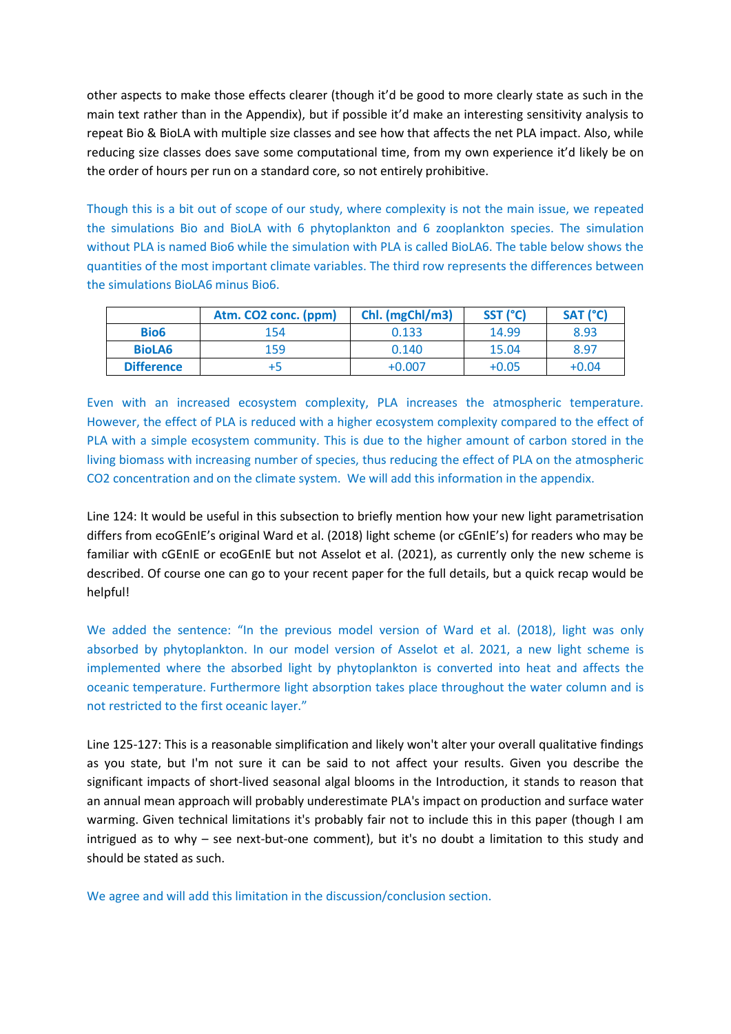other aspects to make those effects clearer (though it'd be good to more clearly state as such in the main text rather than in the Appendix), but if possible it'd make an interesting sensitivity analysis to repeat Bio & BioLA with multiple size classes and see how that affects the net PLA impact. Also, while reducing size classes does save some computational time, from my own experience it'd likely be on the order of hours per run on a standard core, so not entirely prohibitive.

Though this is a bit out of scope of our study, where complexity is not the main issue, we repeated the simulations Bio and BioLA with 6 phytoplankton and 6 zooplankton species. The simulation without PLA is named Bio6 while the simulation with PLA is called BioLA6. The table below shows the quantities of the most important climate variables. The third row represents the differences between the simulations BioLA6 minus Bio6.

|                   | Atm. CO2 conc. (ppm) | Chl. (mgChl/m3) | SST (°C) | SAT (°C) |
|-------------------|----------------------|-----------------|----------|----------|
| <b>Bio6</b>       | 154                  | 0.133           | 14.99    | 8.93     |
| <b>BioLA6</b>     | 159                  | 0.140           | 15.04    | 8.97     |
| <b>Difference</b> | +5                   | $+0.007$        | $+0.05$  | $+0.04$  |

Even with an increased ecosystem complexity, PLA increases the atmospheric temperature. However, the effect of PLA is reduced with a higher ecosystem complexity compared to the effect of PLA with a simple ecosystem community. This is due to the higher amount of carbon stored in the living biomass with increasing number of species, thus reducing the effect of PLA on the atmospheric CO2 concentration and on the climate system. We will add this information in the appendix.

Line 124: It would be useful in this subsection to briefly mention how your new light parametrisation differs from ecoGEnIE's original Ward et al. (2018) light scheme (or cGEnIE's) for readers who may be familiar with cGEnIE or ecoGEnIE but not Asselot et al. (2021), as currently only the new scheme is described. Of course one can go to your recent paper for the full details, but a quick recap would be helpful!

We added the sentence: "In the previous model version of Ward et al. (2018), light was only absorbed by phytoplankton. In our model version of Asselot et al. 2021, a new light scheme is implemented where the absorbed light by phytoplankton is converted into heat and affects the oceanic temperature. Furthermore light absorption takes place throughout the water column and is not restricted to the first oceanic layer."

Line 125-127: This is a reasonable simplification and likely won't alter your overall qualitative findings as you state, but I'm not sure it can be said to not affect your results. Given you describe the significant impacts of short-lived seasonal algal blooms in the Introduction, it stands to reason that an annual mean approach will probably underestimate PLA's impact on production and surface water warming. Given technical limitations it's probably fair not to include this in this paper (though I am intrigued as to why – see next-but-one comment), but it's no doubt a limitation to this study and should be stated as such.

We agree and will add this limitation in the discussion/conclusion section.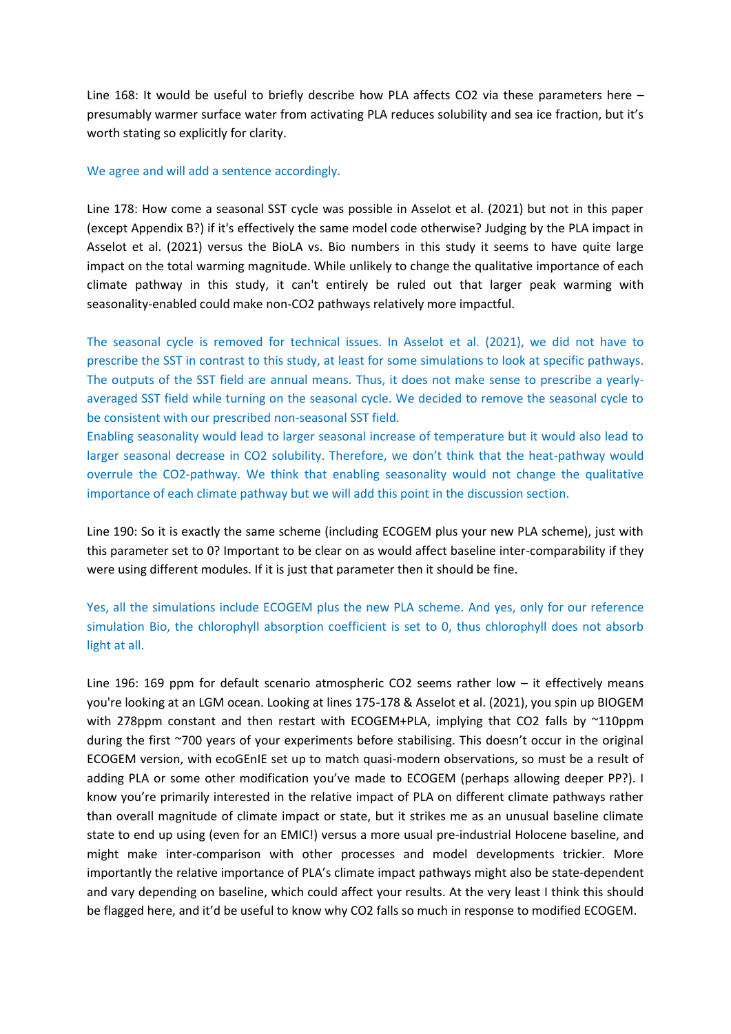Line 168: It would be useful to briefly describe how PLA affects CO2 via these parameters here – presumably warmer surface water from activating PLA reduces solubility and sea ice fraction, but it's worth stating so explicitly for clarity.

#### We agree and will add a sentence accordingly.

Line 178: How come a seasonal SST cycle was possible in Asselot et al. (2021) but not in this paper (except Appendix B?) if it's effectively the same model code otherwise? Judging by the PLA impact in Asselot et al. (2021) versus the BioLA vs. Bio numbers in this study it seems to have quite large impact on the total warming magnitude. While unlikely to change the qualitative importance of each climate pathway in this study, it can't entirely be ruled out that larger peak warming with seasonality-enabled could make non-CO2 pathways relatively more impactful.

The seasonal cycle is removed for technical issues. In Asselot et al. (2021), we did not have to prescribe the SST in contrast to this study, at least for some simulations to look at specific pathways. The outputs of the SST field are annual means. Thus, it does not make sense to prescribe a yearlyaveraged SST field while turning on the seasonal cycle. We decided to remove the seasonal cycle to be consistent with our prescribed non-seasonal SST field.

Enabling seasonality would lead to larger seasonal increase of temperature but it would also lead to larger seasonal decrease in CO2 solubility. Therefore, we don't think that the heat-pathway would overrule the CO2-pathway. We think that enabling seasonality would not change the qualitative importance of each climate pathway but we will add this point in the discussion section.

Line 190: So it is exactly the same scheme (including ECOGEM plus your new PLA scheme), just with this parameter set to 0? Important to be clear on as would affect baseline inter-comparability if they were using different modules. If it is just that parameter then it should be fine.

Yes, all the simulations include ECOGEM plus the new PLA scheme. And yes, only for our reference simulation Bio, the chlorophyll absorption coefficient is set to 0, thus chlorophyll does not absorb light at all.

Line 196: 169 ppm for default scenario atmospheric CO2 seems rather low – it effectively means you're looking at an LGM ocean. Looking at lines 175-178 & Asselot et al. (2021), you spin up BIOGEM with 278ppm constant and then restart with ECOGEM+PLA, implying that CO2 falls by ~110ppm during the first ~700 years of your experiments before stabilising. This doesn't occur in the original ECOGEM version, with ecoGEnIE set up to match quasi-modern observations, so must be a result of adding PLA or some other modification you've made to ECOGEM (perhaps allowing deeper PP?). I know you're primarily interested in the relative impact of PLA on different climate pathways rather than overall magnitude of climate impact or state, but it strikes me as an unusual baseline climate state to end up using (even for an EMIC!) versus a more usual pre-industrial Holocene baseline, and might make inter-comparison with other processes and model developments trickier. More importantly the relative importance of PLA's climate impact pathways might also be state-dependent and vary depending on baseline, which could affect your results. At the very least I think this should be flagged here, and it'd be useful to know why CO2 falls so much in response to modified ECOGEM.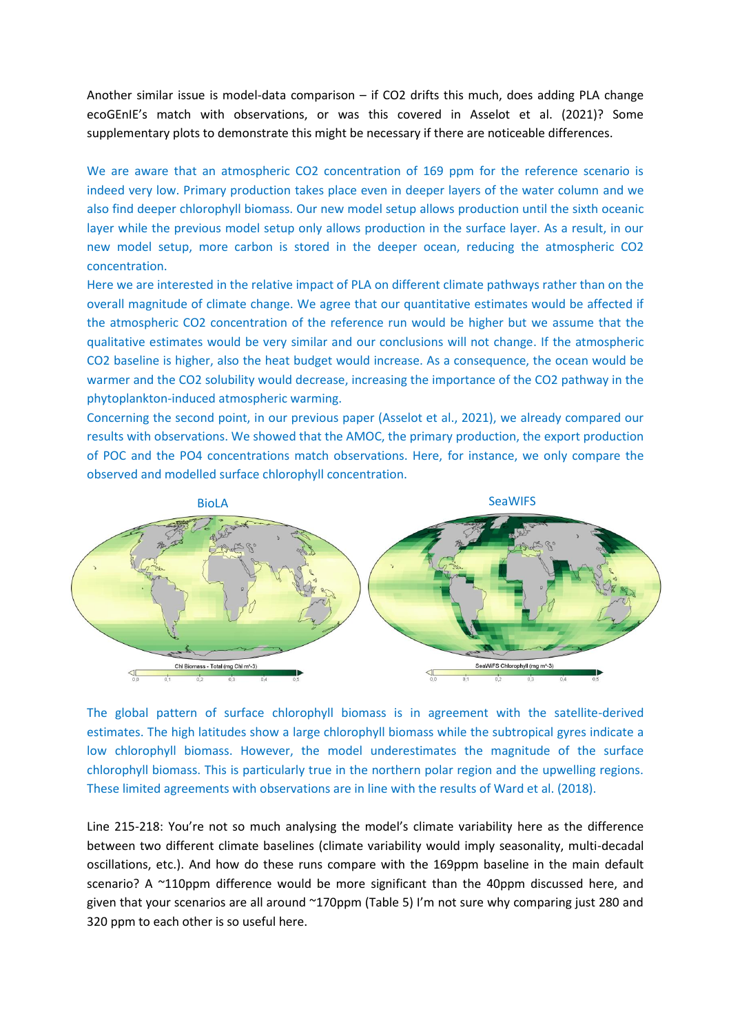Another similar issue is model-data comparison – if CO2 drifts this much, does adding PLA change ecoGEnIE's match with observations, or was this covered in Asselot et al. (2021)? Some supplementary plots to demonstrate this might be necessary if there are noticeable differences.

We are aware that an atmospheric CO2 concentration of 169 ppm for the reference scenario is indeed very low. Primary production takes place even in deeper layers of the water column and we also find deeper chlorophyll biomass. Our new model setup allows production until the sixth oceanic layer while the previous model setup only allows production in the surface layer. As a result, in our new model setup, more carbon is stored in the deeper ocean, reducing the atmospheric CO2 concentration.

Here we are interested in the relative impact of PLA on different climate pathways rather than on the overall magnitude of climate change. We agree that our quantitative estimates would be affected if the atmospheric CO2 concentration of the reference run would be higher but we assume that the qualitative estimates would be very similar and our conclusions will not change. If the atmospheric CO2 baseline is higher, also the heat budget would increase. As a consequence, the ocean would be warmer and the CO2 solubility would decrease, increasing the importance of the CO2 pathway in the phytoplankton-induced atmospheric warming.

Concerning the second point, in our previous paper (Asselot et al., 2021), we already compared our results with observations. We showed that the AMOC, the primary production, the export production of POC and the PO4 concentrations match observations. Here, for instance, we only compare the observed and modelled surface chlorophyll concentration.



The global pattern of surface chlorophyll biomass is in agreement with the satellite-derived estimates. The high latitudes show a large chlorophyll biomass while the subtropical gyres indicate a low chlorophyll biomass. However, the model underestimates the magnitude of the surface chlorophyll biomass. This is particularly true in the northern polar region and the upwelling regions. These limited agreements with observations are in line with the results of Ward et al. (2018).

Line 215-218: You're not so much analysing the model's climate variability here as the difference between two different climate baselines (climate variability would imply seasonality, multi-decadal oscillations, etc.). And how do these runs compare with the 169ppm baseline in the main default scenario? A ~110ppm difference would be more significant than the 40ppm discussed here, and given that your scenarios are all around ~170ppm (Table 5) I'm not sure why comparing just 280 and 320 ppm to each other is so useful here.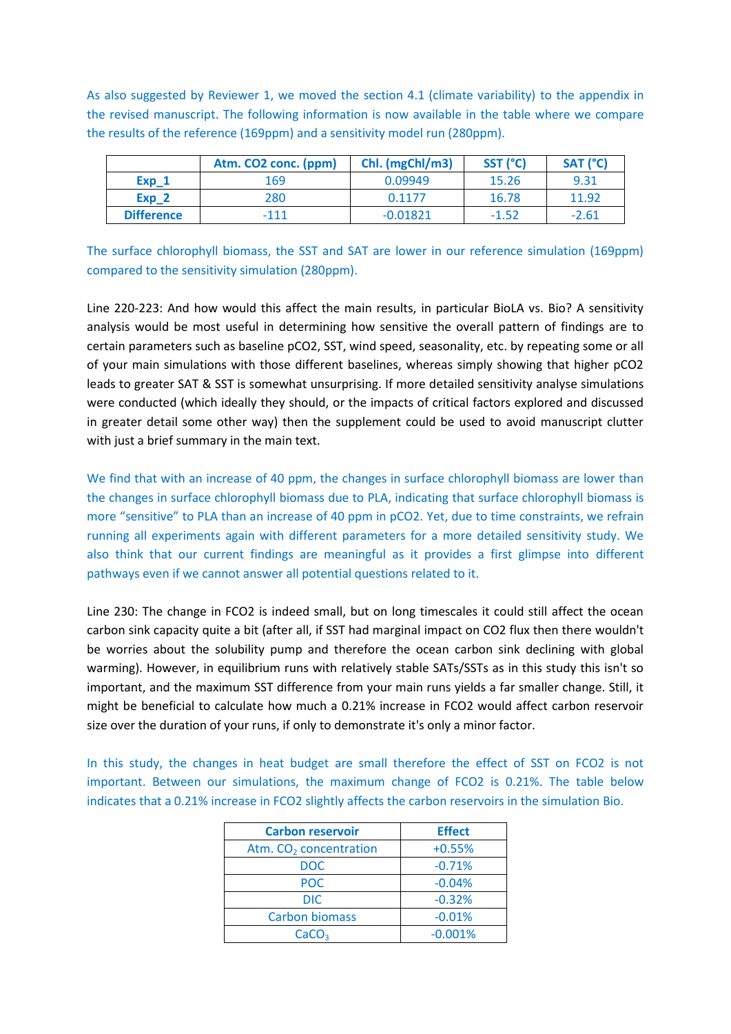As also suggested by Reviewer 1, we moved the section 4.1 (climate variability) to the appendix in the revised manuscript. The following information is now available in the table where we compare the results of the reference (169ppm) and a sensitivity model run (280ppm).

|                   | Atm. CO2 conc. (ppm) | Chl. (mgChl/m3) | SST (°C) | SAT (°C) |
|-------------------|----------------------|-----------------|----------|----------|
| $Exp_1$           | 169                  | 0.09949         | 15.26    | 9.31     |
| Exp <sub>2</sub>  | 280                  | 0.1177          | 16.78    | 11 92    |
| <b>Difference</b> | $-111$               | $-0.01821$      | $-1.52$  | $-2.61$  |

The surface chlorophyll biomass, the SST and SAT are lower in our reference simulation (169ppm) compared to the sensitivity simulation (280ppm).

Line 220-223: And how would this affect the main results, in particular BioLA vs. Bio? A sensitivity analysis would be most useful in determining how sensitive the overall pattern of findings are to certain parameters such as baseline pCO2, SST, wind speed, seasonality, etc. by repeating some or all of your main simulations with those different baselines, whereas simply showing that higher pCO2 leads to greater SAT & SST is somewhat unsurprising. If more detailed sensitivity analyse simulations were conducted (which ideally they should, or the impacts of critical factors explored and discussed in greater detail some other way) then the supplement could be used to avoid manuscript clutter with just a brief summary in the main text.

We find that with an increase of 40 ppm, the changes in surface chlorophyll biomass are lower than the changes in surface chlorophyll biomass due to PLA, indicating that surface chlorophyll biomass is more "sensitive" to PLA than an increase of 40 ppm in pCO2. Yet, due to time constraints, we refrain running all experiments again with different parameters for a more detailed sensitivity study. We also think that our current findings are meaningful as it provides a first glimpse into different pathways even if we cannot answer all potential questions related to it.

Line 230: The change in FCO2 is indeed small, but on long timescales it could still affect the ocean carbon sink capacity quite a bit (after all, if SST had marginal impact on CO2 flux then there wouldn't be worries about the solubility pump and therefore the ocean carbon sink declining with global warming). However, in equilibrium runs with relatively stable SATs/SSTs as in this study this isn't so important, and the maximum SST difference from your main runs yields a far smaller change. Still, it might be beneficial to calculate how much a 0.21% increase in FCO2 would affect carbon reservoir size over the duration of your runs, if only to demonstrate it's only a minor factor.

In this study, the changes in heat budget are small therefore the effect of SST on FCO2 is not important. Between our simulations, the maximum change of FCO2 is 0.21%. The table below indicates that a 0.21% increase in FCO2 slightly affects the carbon reservoirs in the simulation Bio.

| <b>Carbon reservoir</b>  | <b>Effect</b> |  |
|--------------------------|---------------|--|
| Atm. $CO2$ concentration | $+0.55%$      |  |
| <b>DOC</b>               | $-0.71%$      |  |
| <b>POC</b>               | $-0.04%$      |  |
| <b>DIC</b>               | $-0.32%$      |  |
| <b>Carbon biomass</b>    | $-0.01%$      |  |
| CaCO <sub>3</sub>        | $-0.001%$     |  |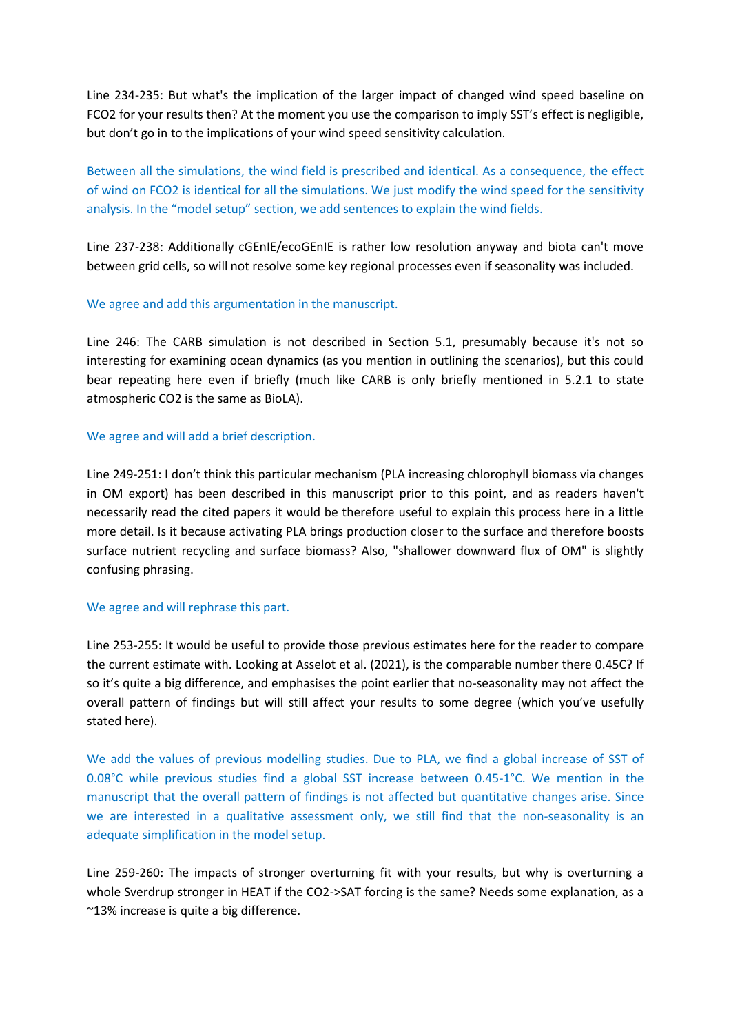Line 234-235: But what's the implication of the larger impact of changed wind speed baseline on FCO2 for your results then? At the moment you use the comparison to imply SST's effect is negligible, but don't go in to the implications of your wind speed sensitivity calculation.

Between all the simulations, the wind field is prescribed and identical. As a consequence, the effect of wind on FCO2 is identical for all the simulations. We just modify the wind speed for the sensitivity analysis. In the "model setup" section, we add sentences to explain the wind fields.

Line 237-238: Additionally cGEnIE/ecoGEnIE is rather low resolution anyway and biota can't move between grid cells, so will not resolve some key regional processes even if seasonality was included.

### We agree and add this argumentation in the manuscript.

Line 246: The CARB simulation is not described in Section 5.1, presumably because it's not so interesting for examining ocean dynamics (as you mention in outlining the scenarios), but this could bear repeating here even if briefly (much like CARB is only briefly mentioned in 5.2.1 to state atmospheric CO2 is the same as BioLA).

# We agree and will add a brief description.

Line 249-251: I don't think this particular mechanism (PLA increasing chlorophyll biomass via changes in OM export) has been described in this manuscript prior to this point, and as readers haven't necessarily read the cited papers it would be therefore useful to explain this process here in a little more detail. Is it because activating PLA brings production closer to the surface and therefore boosts surface nutrient recycling and surface biomass? Also, "shallower downward flux of OM" is slightly confusing phrasing.

### We agree and will rephrase this part.

Line 253-255: It would be useful to provide those previous estimates here for the reader to compare the current estimate with. Looking at Asselot et al. (2021), is the comparable number there 0.45C? If so it's quite a big difference, and emphasises the point earlier that no-seasonality may not affect the overall pattern of findings but will still affect your results to some degree (which you've usefully stated here).

We add the values of previous modelling studies. Due to PLA, we find a global increase of SST of 0.08°C while previous studies find a global SST increase between 0.45-1°C. We mention in the manuscript that the overall pattern of findings is not affected but quantitative changes arise. Since we are interested in a qualitative assessment only, we still find that the non-seasonality is an adequate simplification in the model setup.

Line 259-260: The impacts of stronger overturning fit with your results, but why is overturning a whole Sverdrup stronger in HEAT if the CO2->SAT forcing is the same? Needs some explanation, as a ~13% increase is quite a big difference.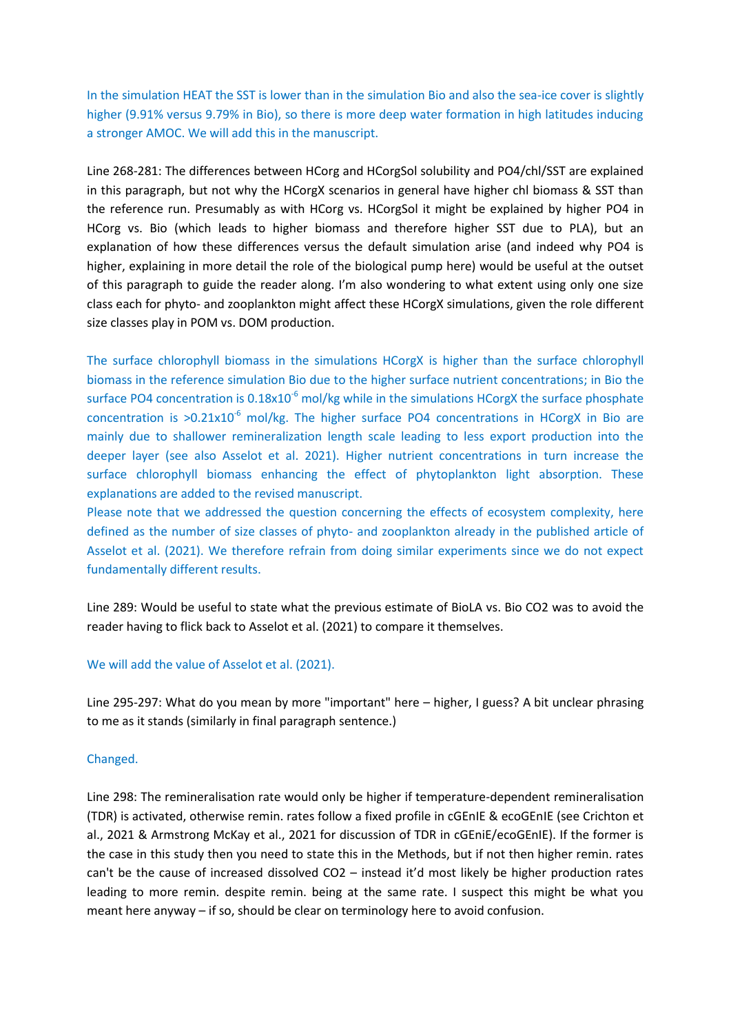In the simulation HEAT the SST is lower than in the simulation Bio and also the sea-ice cover is slightly higher (9.91% versus 9.79% in Bio), so there is more deep water formation in high latitudes inducing a stronger AMOC. We will add this in the manuscript.

Line 268-281: The differences between HCorg and HCorgSol solubility and PO4/chl/SST are explained in this paragraph, but not why the HCorgX scenarios in general have higher chl biomass & SST than the reference run. Presumably as with HCorg vs. HCorgSol it might be explained by higher PO4 in HCorg vs. Bio (which leads to higher biomass and therefore higher SST due to PLA), but an explanation of how these differences versus the default simulation arise (and indeed why PO4 is higher, explaining in more detail the role of the biological pump here) would be useful at the outset of this paragraph to guide the reader along. I'm also wondering to what extent using only one size class each for phyto- and zooplankton might affect these HCorgX simulations, given the role different size classes play in POM vs. DOM production.

The surface chlorophyll biomass in the simulations HCorgX is higher than the surface chlorophyll biomass in the reference simulation Bio due to the higher surface nutrient concentrations; in Bio the surface PO4 concentration is  $0.18x10^{-6}$  mol/kg while in the simulations HCorgX the surface phosphate concentration is  $>0.21x10^{-6}$  mol/kg. The higher surface PO4 concentrations in HCorgX in Bio are mainly due to shallower remineralization length scale leading to less export production into the deeper layer (see also Asselot et al. 2021). Higher nutrient concentrations in turn increase the surface chlorophyll biomass enhancing the effect of phytoplankton light absorption. These explanations are added to the revised manuscript.

Please note that we addressed the question concerning the effects of ecosystem complexity, here defined as the number of size classes of phyto- and zooplankton already in the published article of Asselot et al. (2021). We therefore refrain from doing similar experiments since we do not expect fundamentally different results.

Line 289: Would be useful to state what the previous estimate of BioLA vs. Bio CO2 was to avoid the reader having to flick back to Asselot et al. (2021) to compare it themselves.

### We will add the value of Asselot et al. (2021).

Line 295-297: What do you mean by more "important" here – higher, I guess? A bit unclear phrasing to me as it stands (similarly in final paragraph sentence.)

### Changed.

Line 298: The remineralisation rate would only be higher if temperature-dependent remineralisation (TDR) is activated, otherwise remin. rates follow a fixed profile in cGEnIE & ecoGEnIE (see Crichton et al., 2021 & Armstrong McKay et al., 2021 for discussion of TDR in cGEniE/ecoGEnIE). If the former is the case in this study then you need to state this in the Methods, but if not then higher remin. rates can't be the cause of increased dissolved CO2 – instead it'd most likely be higher production rates leading to more remin. despite remin. being at the same rate. I suspect this might be what you meant here anyway – if so, should be clear on terminology here to avoid confusion.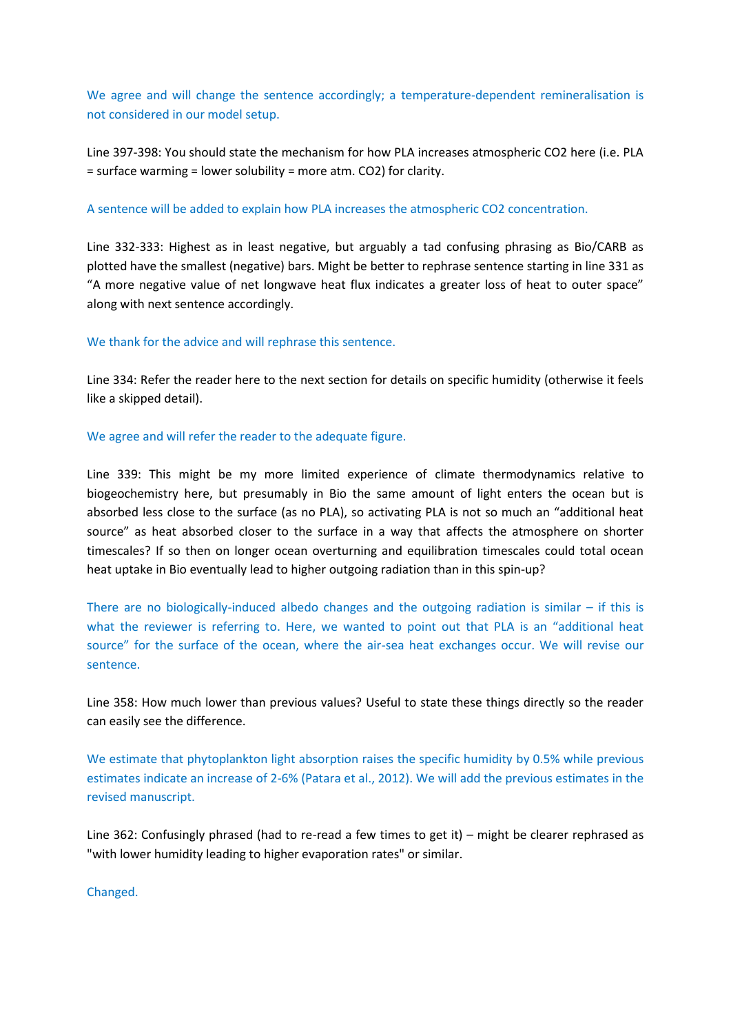We agree and will change the sentence accordingly; a temperature-dependent remineralisation is not considered in our model setup.

Line 397-398: You should state the mechanism for how PLA increases atmospheric CO2 here (i.e. PLA = surface warming = lower solubility = more atm. CO2) for clarity.

### A sentence will be added to explain how PLA increases the atmospheric CO2 concentration.

Line 332-333: Highest as in least negative, but arguably a tad confusing phrasing as Bio/CARB as plotted have the smallest (negative) bars. Might be better to rephrase sentence starting in line 331 as "A more negative value of net longwave heat flux indicates a greater loss of heat to outer space" along with next sentence accordingly.

### We thank for the advice and will rephrase this sentence.

Line 334: Refer the reader here to the next section for details on specific humidity (otherwise it feels like a skipped detail).

### We agree and will refer the reader to the adequate figure.

Line 339: This might be my more limited experience of climate thermodynamics relative to biogeochemistry here, but presumably in Bio the same amount of light enters the ocean but is absorbed less close to the surface (as no PLA), so activating PLA is not so much an "additional heat source" as heat absorbed closer to the surface in a way that affects the atmosphere on shorter timescales? If so then on longer ocean overturning and equilibration timescales could total ocean heat uptake in Bio eventually lead to higher outgoing radiation than in this spin-up?

There are no biologically-induced albedo changes and the outgoing radiation is similar  $-$  if this is what the reviewer is referring to. Here, we wanted to point out that PLA is an "additional heat source" for the surface of the ocean, where the air-sea heat exchanges occur. We will revise our sentence.

Line 358: How much lower than previous values? Useful to state these things directly so the reader can easily see the difference.

We estimate that phytoplankton light absorption raises the specific humidity by 0.5% while previous estimates indicate an increase of 2-6% (Patara et al., 2012). We will add the previous estimates in the revised manuscript.

Line 362: Confusingly phrased (had to re-read a few times to get it) – might be clearer rephrased as "with lower humidity leading to higher evaporation rates" or similar.

Changed.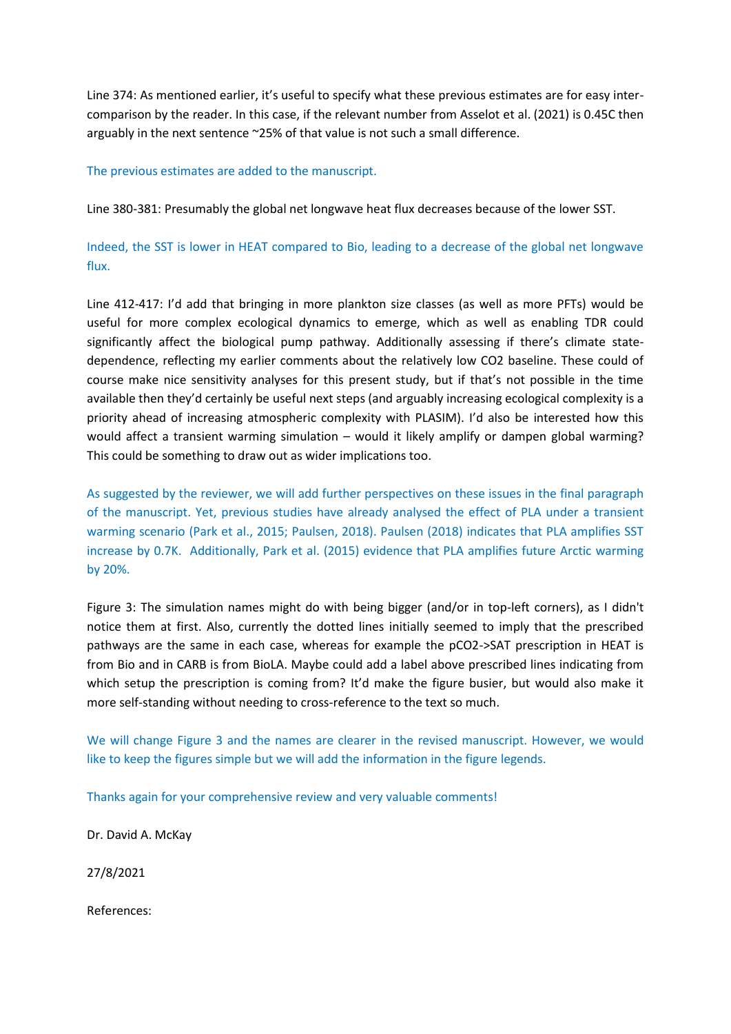Line 374: As mentioned earlier, it's useful to specify what these previous estimates are for easy intercomparison by the reader. In this case, if the relevant number from Asselot et al. (2021) is 0.45C then arguably in the next sentence ~25% of that value is not such a small difference.

### The previous estimates are added to the manuscript.

Line 380-381: Presumably the global net longwave heat flux decreases because of the lower SST.

Indeed, the SST is lower in HEAT compared to Bio, leading to a decrease of the global net longwave flux.

Line 412-417: I'd add that bringing in more plankton size classes (as well as more PFTs) would be useful for more complex ecological dynamics to emerge, which as well as enabling TDR could significantly affect the biological pump pathway. Additionally assessing if there's climate statedependence, reflecting my earlier comments about the relatively low CO2 baseline. These could of course make nice sensitivity analyses for this present study, but if that's not possible in the time available then they'd certainly be useful next steps (and arguably increasing ecological complexity is a priority ahead of increasing atmospheric complexity with PLASIM). I'd also be interested how this would affect a transient warming simulation – would it likely amplify or dampen global warming? This could be something to draw out as wider implications too.

As suggested by the reviewer, we will add further perspectives on these issues in the final paragraph of the manuscript. Yet, previous studies have already analysed the effect of PLA under a transient warming scenario (Park et al., 2015; Paulsen, 2018). Paulsen (2018) indicates that PLA amplifies SST increase by 0.7K. Additionally, Park et al. (2015) evidence that PLA amplifies future Arctic warming by 20%.

Figure 3: The simulation names might do with being bigger (and/or in top-left corners), as I didn't notice them at first. Also, currently the dotted lines initially seemed to imply that the prescribed pathways are the same in each case, whereas for example the pCO2->SAT prescription in HEAT is from Bio and in CARB is from BioLA. Maybe could add a label above prescribed lines indicating from which setup the prescription is coming from? It'd make the figure busier, but would also make it more self-standing without needing to cross-reference to the text so much.

We will change Figure 3 and the names are clearer in the revised manuscript. However, we would like to keep the figures simple but we will add the information in the figure legends.

Thanks again for your comprehensive review and very valuable comments!

Dr. David A. McKay

27/8/2021

References: